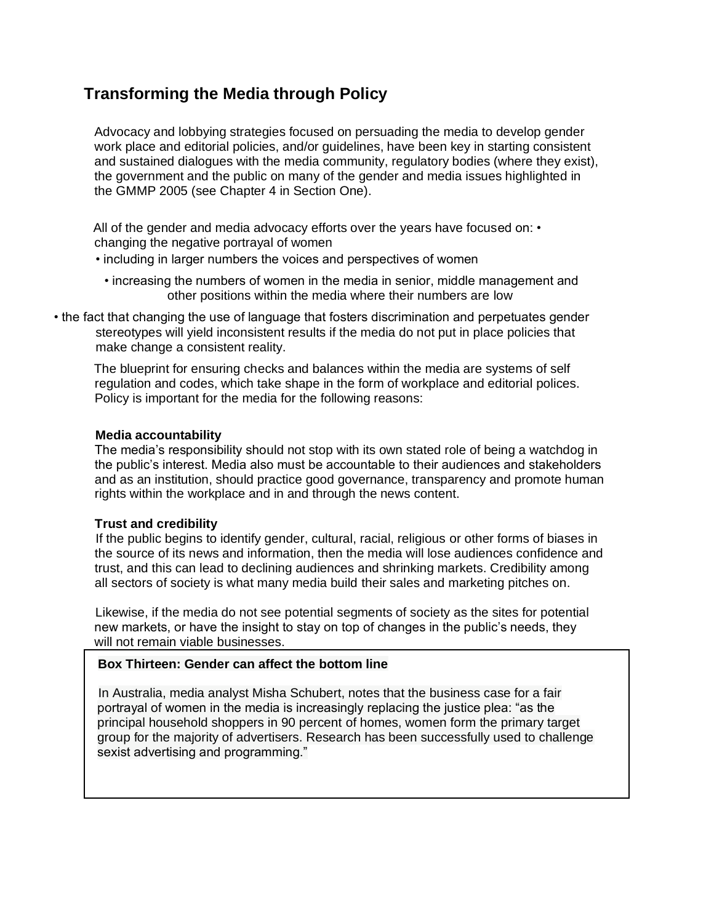# **Transforming the Media through Policy**

Advocacy and lobbying strategies focused on persuading the media to develop gender work place and editorial policies, and/or guidelines, have been key in starting consistent and sustained dialogues with the media community, regulatory bodies (where they exist), the government and the public on many of the gender and media issues highlighted in the GMMP 2005 (see Chapter 4 in Section One).

All of the gender and media advocacy efforts over the years have focused on: • changing the negative portrayal of women

- including in larger numbers the voices and perspectives of women
	- increasing the numbers of women in the media in senior, middle management and other positions within the media where their numbers are low
- the fact that changing the use of language that fosters discrimination and perpetuates gender stereotypes will yield inconsistent results if the media do not put in place policies that make change a consistent reality.

The blueprint for ensuring checks and balances within the media are systems of self regulation and codes, which take shape in the form of workplace and editorial polices. Policy is important for the media for the following reasons:

#### **Media accountability**

The media's responsibility should not stop with its own stated role of being a watchdog in the public's interest. Media also must be accountable to their audiences and stakeholders and as an institution, should practice good governance, transparency and promote human rights within the workplace and in and through the news content.

#### **Trust and credibility**

If the public begins to identify gender, cultural, racial, religious or other forms of biases in the source of its news and information, then the media will lose audiences confidence and trust, and this can lead to declining audiences and shrinking markets. Credibility among all sectors of society is what many media build their sales and marketing pitches on.

Likewise, if the media do not see potential segments of society as the sites for potential new markets, or have the insight to stay on top of changes in the public's needs, they will not remain viable businesses.

# **Box Thirteen: Gender can affect the bottom line**

In Australia, media analyst Misha Schubert, notes that the business case for a fair portrayal of women in the media is increasingly replacing the justice plea: "as the principal household shoppers in 90 percent of homes, women form the primary target group for the majority of advertisers. Research has been successfully used to challenge sexist advertising and programming."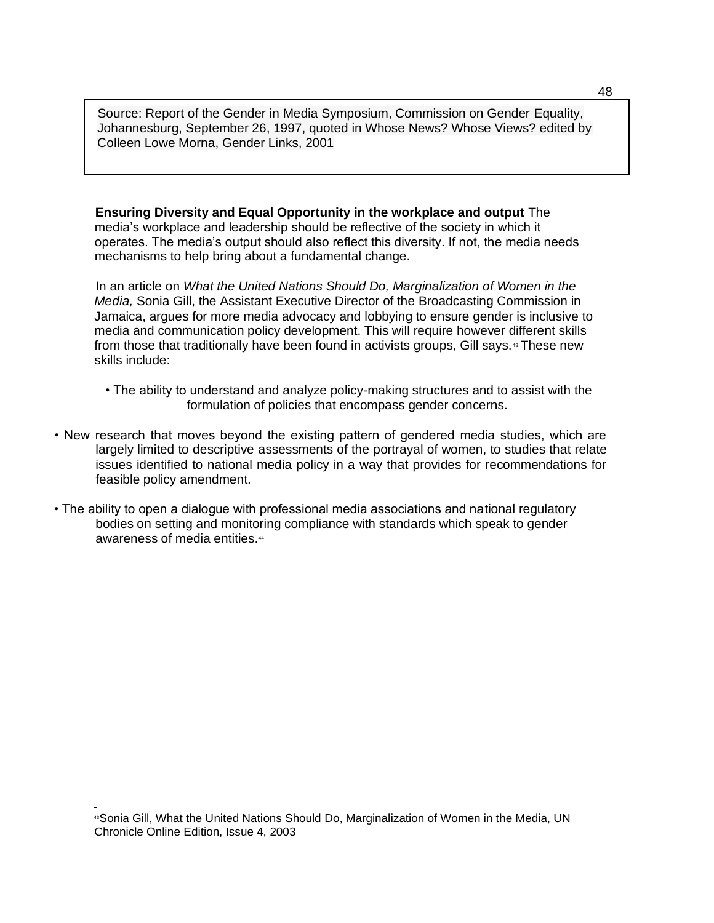Source: Report of the Gender in Media Symposium, Commission on Gender Equality, Johannesburg, September 26, 1997, quoted in Whose News? Whose Views? edited by Colleen Lowe Morna, Gender Links, 2001

**Ensuring Diversity and Equal Opportunity in the workplace and output** The media's workplace and leadership should be reflective of the society in which it operates. The media's output should also reflect this diversity. If not, the media needs mechanisms to help bring about a fundamental change.

In an article on *What the United Nations Should Do, Marginalization of Women in the Media,* Sonia Gill, the Assistant Executive Director of the Broadcasting Commission in Jamaica, argues for more media advocacy and lobbying to ensure gender is inclusive to media and communication policy development. This will require however different skills from those that traditionally have been found in activists groups, Gill says.<sup>43</sup> These new skills include:

- The ability to understand and analyze policy-making structures and to assist with the formulation of policies that encompass gender concerns.
- New research that moves beyond the existing pattern of gendered media studies, which are largely limited to descriptive assessments of the portrayal of women, to studies that relate issues identified to national media policy in a way that provides for recommendations for feasible policy amendment.
- The ability to open a dialogue with professional media associations and national regulatory bodies on setting and monitoring compliance with standards which speak to gender awareness of media entities.<sup>44</sup>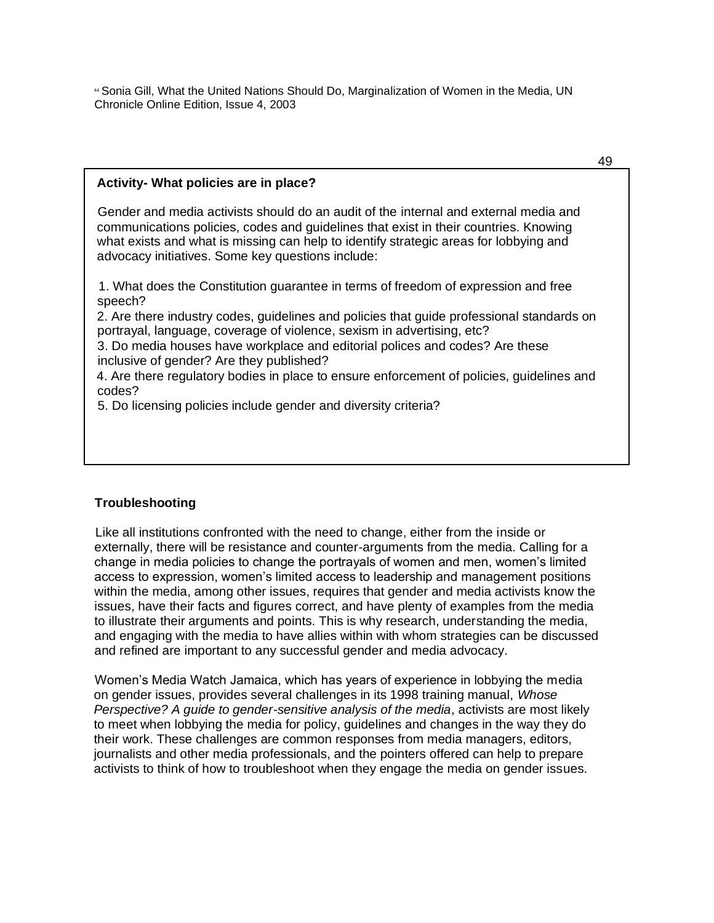<sup>44</sup> Sonia Gill, What the United Nations Should Do, Marginalization of Women in the Media, UN Chronicle Online Edition, Issue 4, 2003

#### **Activity- What policies are in place?**

Gender and media activists should do an audit of the internal and external media and communications policies, codes and guidelines that exist in their countries. Knowing what exists and what is missing can help to identify strategic areas for lobbying and advocacy initiatives. Some key questions include:

1. What does the Constitution guarantee in terms of freedom of expression and free speech?

2. Are there industry codes, guidelines and policies that guide professional standards on portrayal, language, coverage of violence, sexism in advertising, etc?

3. Do media houses have workplace and editorial polices and codes? Are these inclusive of gender? Are they published?

4. Are there regulatory bodies in place to ensure enforcement of policies, guidelines and codes?

5. Do licensing policies include gender and diversity criteria?

#### **Troubleshooting**

Like all institutions confronted with the need to change, either from the inside or externally, there will be resistance and counter-arguments from the media. Calling for a change in media policies to change the portrayals of women and men, women's limited access to expression, women's limited access to leadership and management positions within the media, among other issues, requires that gender and media activists know the issues, have their facts and figures correct, and have plenty of examples from the media to illustrate their arguments and points. This is why research, understanding the media, and engaging with the media to have allies within with whom strategies can be discussed and refined are important to any successful gender and media advocacy.

Women's Media Watch Jamaica, which has years of experience in lobbying the media on gender issues, provides several challenges in its 1998 training manual, *Whose Perspective? A guide to gender-sensitive analysis of the media*, activists are most likely to meet when lobbying the media for policy, guidelines and changes in the way they do their work. These challenges are common responses from media managers, editors, journalists and other media professionals, and the pointers offered can help to prepare activists to think of how to troubleshoot when they engage the media on gender issues.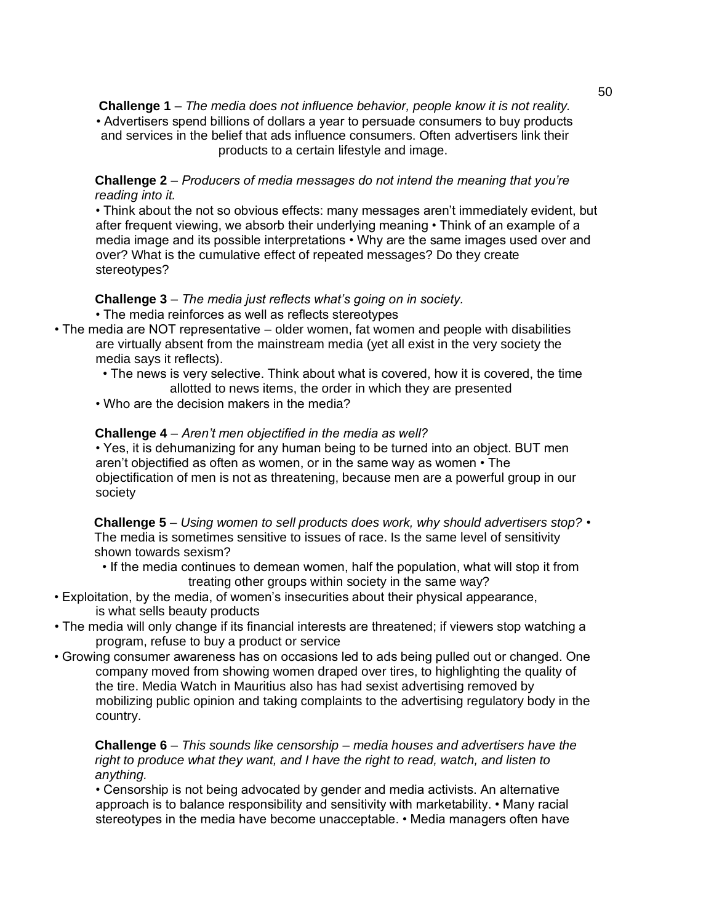**Challenge 1** – *The media does not influence behavior, people know it is not reality.*  • Advertisers spend billions of dollars a year to persuade consumers to buy products and services in the belief that ads influence consumers. Often advertisers link their products to a certain lifestyle and image.

### **Challenge 2** – *Producers of media messages do not intend the meaning that you're reading into it.*

• Think about the not so obvious effects: many messages aren't immediately evident, but after frequent viewing, we absorb their underlying meaning • Think of an example of a media image and its possible interpretations • Why are the same images used over and over? What is the cumulative effect of repeated messages? Do they create stereotypes?

#### **Challenge 3** – *The media just reflects what's going on in society.*

- The media reinforces as well as reflects stereotypes
- The media are NOT representative older women, fat women and people with disabilities are virtually absent from the mainstream media (yet all exist in the very society the media says it reflects).
	- The news is very selective. Think about what is covered, how it is covered, the time allotted to news items, the order in which they are presented
	- Who are the decision makers in the media?

#### **Challenge 4** – *Aren't men objectified in the media as well?*

• Yes, it is dehumanizing for any human being to be turned into an object. BUT men aren't objectified as often as women, or in the same way as women • The objectification of men is not as threatening, because men are a powerful group in our society

**Challenge 5** *– Using women to sell products does work, why should advertisers stop?* • The media is sometimes sensitive to issues of race. Is the same level of sensitivity shown towards sexism?

- If the media continues to demean women, half the population, what will stop it from treating other groups within society in the same way?
- Exploitation, by the media, of women's insecurities about their physical appearance, is what sells beauty products
- The media will only change if its financial interests are threatened; if viewers stop watching a program, refuse to buy a product or service
- Growing consumer awareness has on occasions led to ads being pulled out or changed. One company moved from showing women draped over tires, to highlighting the quality of the tire. Media Watch in Mauritius also has had sexist advertising removed by mobilizing public opinion and taking complaints to the advertising regulatory body in the country.

## **Challenge 6** – *This sounds like censorship – media houses and advertisers have the right to produce what they want, and I have the right to read, watch, and listen to anything.*

• Censorship is not being advocated by gender and media activists. An alternative approach is to balance responsibility and sensitivity with marketability. • Many racial stereotypes in the media have become unacceptable. • Media managers often have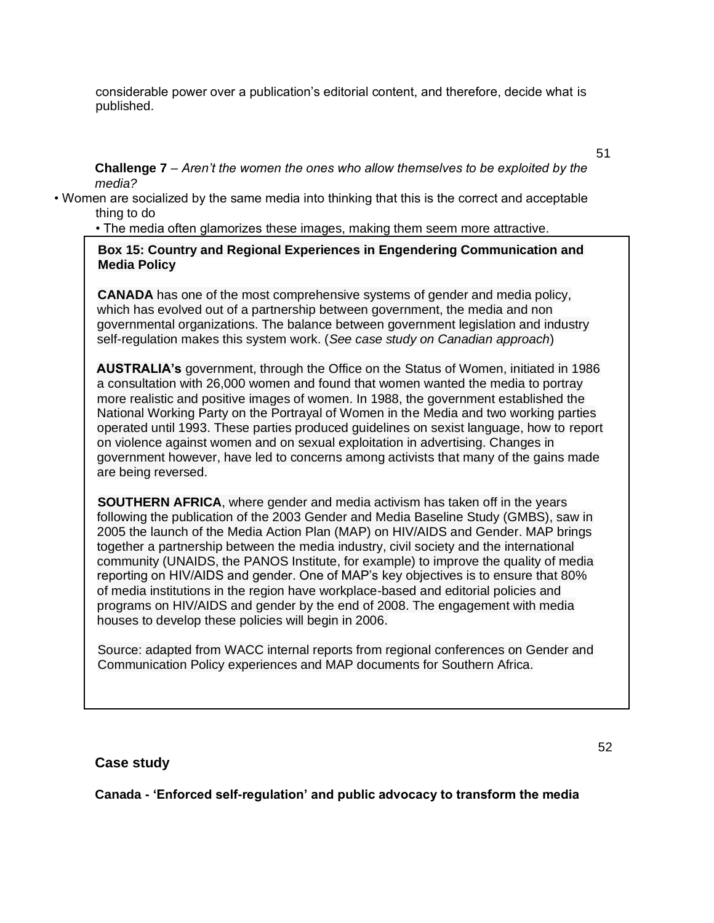considerable power over a publication's editorial content, and therefore, decide what is published.

**Challenge 7** – *Aren't the women the ones who allow themselves to be exploited by the media?*

• Women are socialized by the same media into thinking that this is the correct and acceptable thing to do

• The media often glamorizes these images, making them seem more attractive.

**Box 15: Country and Regional Experiences in Engendering Communication and Media Policy**

**CANADA** has one of the most comprehensive systems of gender and media policy, which has evolved out of a partnership between government, the media and non governmental organizations. The balance between government legislation and industry self-regulation makes this system work. (*See case study on Canadian approach*)

**AUSTRALIA's** government, through the Office on the Status of Women, initiated in 1986 a consultation with 26,000 women and found that women wanted the media to portray more realistic and positive images of women. In 1988, the government established the National Working Party on the Portrayal of Women in the Media and two working parties operated until 1993. These parties produced guidelines on sexist language, how to report on violence against women and on sexual exploitation in advertising. Changes in government however, have led to concerns among activists that many of the gains made are being reversed.

**SOUTHERN AFRICA**, where gender and media activism has taken off in the years following the publication of the 2003 Gender and Media Baseline Study (GMBS), saw in 2005 the launch of the Media Action Plan (MAP) on HIV/AIDS and Gender. MAP brings together a partnership between the media industry, civil society and the international community (UNAIDS, the PANOS Institute, for example) to improve the quality of media reporting on HIV/AIDS and gender. One of MAP's key objectives is to ensure that 80% of media institutions in the region have workplace-based and editorial policies and programs on HIV/AIDS and gender by the end of 2008. The engagement with media houses to develop these policies will begin in 2006.

Source: adapted from WACC internal reports from regional conferences on Gender and Communication Policy experiences and MAP documents for Southern Africa.

# **Case study**

**Canada - 'Enforced self-regulation' and public advocacy to transform the media**

51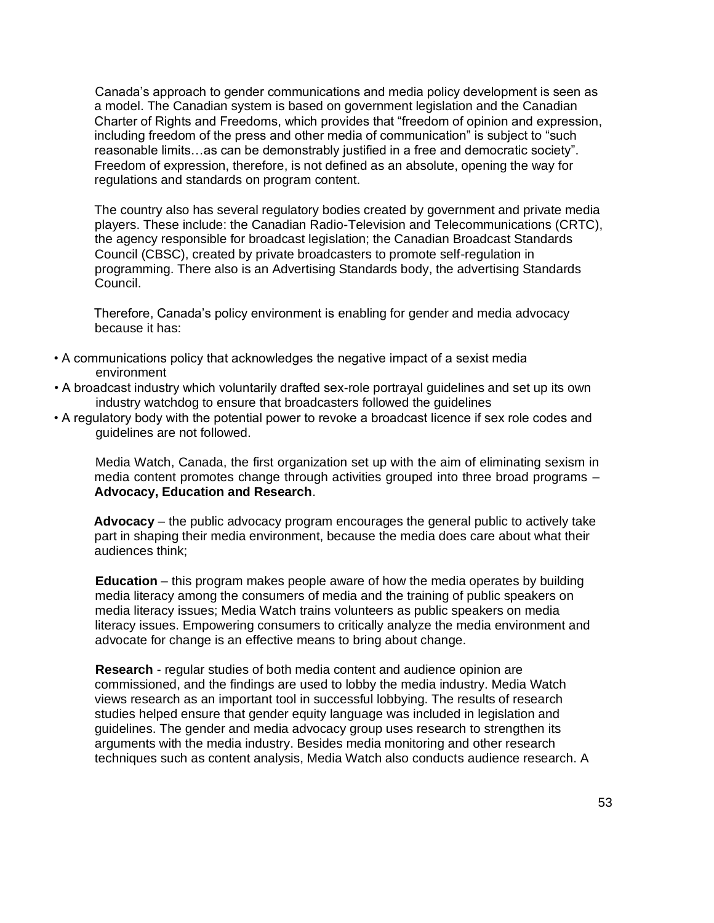Canada's approach to gender communications and media policy development is seen as a model. The Canadian system is based on government legislation and the Canadian Charter of Rights and Freedoms, which provides that "freedom of opinion and expression, including freedom of the press and other media of communication" is subject to "such reasonable limits…as can be demonstrably justified in a free and democratic society". Freedom of expression, therefore, is not defined as an absolute, opening the way for regulations and standards on program content.

The country also has several regulatory bodies created by government and private media players. These include: the Canadian Radio-Television and Telecommunications (CRTC), the agency responsible for broadcast legislation; the Canadian Broadcast Standards Council (CBSC), created by private broadcasters to promote self-regulation in programming. There also is an Advertising Standards body, the advertising Standards Council.

Therefore, Canada's policy environment is enabling for gender and media advocacy because it has:

- A communications policy that acknowledges the negative impact of a sexist media environment
- A broadcast industry which voluntarily drafted sex-role portrayal guidelines and set up its own industry watchdog to ensure that broadcasters followed the guidelines
- A regulatory body with the potential power to revoke a broadcast licence if sex role codes and guidelines are not followed.

Media Watch, Canada, the first organization set up with the aim of eliminating sexism in media content promotes change through activities grouped into three broad programs – **Advocacy, Education and Research**.

**Advocacy** – the public advocacy program encourages the general public to actively take part in shaping their media environment, because the media does care about what their audiences think;

**Education** – this program makes people aware of how the media operates by building media literacy among the consumers of media and the training of public speakers on media literacy issues; Media Watch trains volunteers as public speakers on media literacy issues. Empowering consumers to critically analyze the media environment and advocate for change is an effective means to bring about change.

**Research** - regular studies of both media content and audience opinion are commissioned, and the findings are used to lobby the media industry. Media Watch views research as an important tool in successful lobbying. The results of research studies helped ensure that gender equity language was included in legislation and guidelines. The gender and media advocacy group uses research to strengthen its arguments with the media industry. Besides media monitoring and other research techniques such as content analysis, Media Watch also conducts audience research. A